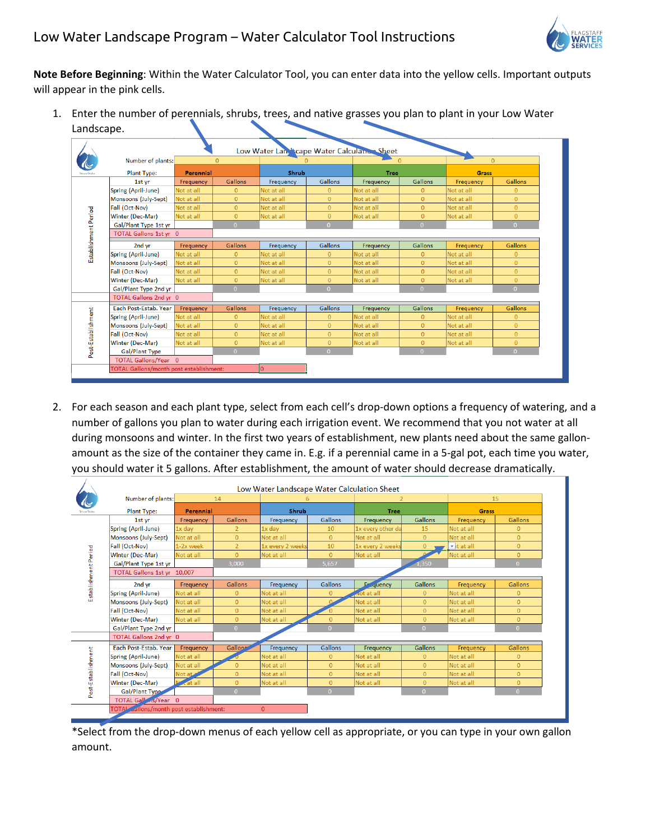

**Note Before Beginning**: Within the Water Calculator Tool, you can enter data into the yellow cells. Important outputs will appear in the pink cells.

1. Enter the number of perennials, shrubs, trees, and native grasses you plan to plant in your Low Water Landscape.

|                      | Number of plants:               | $\mathbf{0}$ |                | <b>Shrub</b> |                | $\mathbf{0}$<br><b>Tree</b> |                | $\mathbf{0}$<br><b>Grass</b> |                |
|----------------------|---------------------------------|--------------|----------------|--------------|----------------|-----------------------------|----------------|------------------------------|----------------|
|                      | <b>Perennial</b><br>Plant Type: |              |                |              |                |                             |                |                              |                |
| Establishment Period | 1st yr                          | Frequency    | Gallons        | Frequency    | Gallons        | Frequency                   | Gallons        | Frequency                    | Gallons        |
|                      | Spring (April-June)             | Not at all   | $\Omega$       | Not at all   | $\overline{0}$ | Not at all                  | $\mathbf{0}$   | Not at all                   | $\Omega$       |
|                      | Monsoons (July-Sept)            | Not at all   | $\overline{0}$ | Not at all   | $\overline{0}$ | Not at all                  | $\overline{0}$ | Not at all                   | $\mathbf{0}$   |
|                      | Fall (Oct-Nov)                  | Not at all   | $\overline{0}$ | Not at all   | $\overline{0}$ | Not at all                  | $\mathbf{0}$   | Not at all                   | $\mathbf{0}$   |
|                      | Winter (Dec-Mar)                | Not at all   | $\overline{0}$ | Not at all   | $\overline{0}$ | Not at all                  | $\overline{0}$ | Not at all                   | $\overline{0}$ |
|                      | Gal/Plant Type 1st yr           |              | $\Omega$       |              | $\Omega$       |                             | $\Omega$       |                              | $\Omega$       |
|                      | TOTAL Gallons 1st vr 0          |              |                |              |                |                             |                |                              |                |
|                      | 2nd yr                          | Frequency    | <b>Gallons</b> | Frequency    | Gallons        | Frequency                   | Gallons        | <b>Frequency</b>             | Gallons        |
|                      | Spring (April-June)             | Not at all   | $\overline{0}$ | Not at all   | $\overline{0}$ | Not at all                  | $\mathbf{0}$   | Not at all                   | $\overline{0}$ |
|                      | Monsoons (July-Sept)            | Not at all   | $\overline{0}$ | Not at all   | $\overline{0}$ | Not at all                  | $\overline{0}$ | Not at all                   | $\overline{0}$ |
|                      | Fall (Oct-Nov)                  | Not at all   | $\Omega$       | Not at all   | $\Omega$       | Not at all                  | $\mathbf{0}$   | Not at all                   | $\overline{0}$ |
|                      | Winter (Dec-Mar)                | Not at all   | $\overline{0}$ | Not at all   | $\overline{0}$ | Not at all                  | $\overline{0}$ | Not at all                   | $\overline{0}$ |
|                      | Gal/Plant Type 2nd yr           |              | $\Omega$       |              | $\Omega$       |                             | $\overline{0}$ |                              | $\overline{0}$ |
|                      | TOTAL Gallons 2nd vr 0          |              |                |              |                |                             |                |                              |                |
| Post-Establishment   | Each Post-Estab, Year           | Frequency    | Gallons        | Frequency    | Gallons        | Frequency                   | Gallons        | Frequency                    | <b>Gallons</b> |
|                      | Spring (April-June)             | Not at all   | $\overline{0}$ | Not at all   | $\overline{0}$ | Not at all                  | $\mathbf{0}$   | Not at all                   | $\mathbf{0}$   |
|                      | Monsoons (July-Sept)            | Not at all   | $\Omega$       | Not at all   | $\Omega$       | Not at all                  | $\Omega$       | Not at all                   | $\Omega$       |
|                      | Fall (Oct-Nov)                  | Not at all   | $\overline{0}$ | Not at all   | $\overline{0}$ | Not at all                  | $\Omega$       | Not at all                   | $\overline{0}$ |
|                      | <b>Winter (Dec-Mar)</b>         | Not at all   | $\overline{0}$ | Not at all   | $\overline{0}$ | Not at all                  | $\mathbf{0}$   | Not at all                   | $\mathbf{0}$   |
|                      | <b>Gal/Plant Type</b>           |              | $\overline{0}$ |              | $\overline{0}$ |                             | $\overline{0}$ |                              | $\overline{0}$ |
|                      |                                 |              |                |              |                |                             |                |                              |                |

2. For each season and each plant type, select from each cell's drop-down options a frequency of watering, and a number of gallons you plan to water during each irrigation event. We recommend that you not water at all during monsoons and winter. In the first two years of establishment, new plants need about the same gallonamount as the size of the container they came in. E.g. if a perennial came in a 5-gal pot, each time you water, you should water it 5 gallons. After establishment, the amount of water should decrease dramatically.

|                      | Low Water Landscape Water Calculation Sheet |                 |                |                  |                |                     |                |                    |                |  |
|----------------------|---------------------------------------------|-----------------|----------------|------------------|----------------|---------------------|----------------|--------------------|----------------|--|
|                      | Number of plants:                           | 14<br>Perennial |                | 6<br>Shrub       |                | 2<br><b>Tree</b>    |                | 15<br><b>Grass</b> |                |  |
|                      | <b>Plant Type:</b>                          |                 |                |                  |                |                     |                |                    |                |  |
| Establishment Period | 1st vr                                      | Frequency       | Gallons        | Frequency        | Gallons        | Frequency           | Gallons        | Frequency          | Gallons        |  |
|                      | Spring (April-June)                         | 1x day          | $\overline{2}$ | 1x day           | 10             | 1x every other da   | 15             | Not at all         | $\mathbf{0}$   |  |
|                      | Monsoons (July-Sept)                        | Not at all      | $\overline{0}$ | Not at all       | $\overline{0}$ | Not at all          | $\overline{0}$ | Not at all         | $\overline{0}$ |  |
|                      | <b>Fall (Oct-Nov)</b>                       | 1-2x week       | $\overline{2}$ | 1x every 2 weeks | 10             | 1x every 2 weeks    | $\overline{0}$ | v it at all        | $\overline{0}$ |  |
|                      | <b>Winter (Dec-Mar)</b>                     | Not at all      | $\overline{0}$ | Not at all       | $\overline{0}$ | Not at all          |                | Not at all         | $\mathbf{0}$   |  |
|                      | Gal/Plant Type 1st yr                       |                 | 3.000          |                  | 5.657          |                     | 1,350          |                    | $\Omega$       |  |
|                      | TOTAL Gallons 1st yr 10,007                 |                 |                |                  |                |                     |                |                    |                |  |
|                      | 2nd vr                                      | Frequency       | <b>Gallons</b> | Frequency        | Gallons        | En<br><b>Auency</b> | <b>Gallons</b> | Frequency          | Gallons        |  |
|                      | Spring (April-June)                         | Not at all      | $\overline{0}$ | Not at all       | $\overline{0}$ | <b>Not</b> at all   | $\overline{0}$ | Not at all         | $\mathbf{0}$   |  |
|                      | Monsoons (July-Sept)                        | Not at all      | $\overline{0}$ | Not at all       |                | Not at all          | $\mathbf{0}$   | Not at all         | $\overline{0}$ |  |
|                      | Fall (Oct-Nov)                              | Not at all      | $\overline{0}$ | Not at all       | O.             | Not at all          | $\overline{0}$ | Not at all         | $\overline{0}$ |  |
|                      | Winter (Dec-Mar)                            | Not at all      | $\Omega$       | Not at all       | $\Omega$       | Not at all          | $\overline{0}$ | Not at all         | $\mathbf{O}$   |  |
|                      | Gal/Plant Type 2nd yr                       |                 | $\Omega$       |                  | $\Omega$       |                     | $\overline{0}$ |                    | $\Omega$       |  |
|                      | TOTAL Gallons 2nd yr 0                      |                 |                |                  |                |                     |                |                    |                |  |
| Post-Establishment   | Each Post-Estab, Year                       | Frequency       | <b>Gallons</b> | Frequency        | Gallons        | Frequency           | <b>Gallons</b> | Frequency          | Gallons        |  |
|                      | Spring (April-June)                         | Not at all      |                | Not at all       | $\mathbf{O}$   | Not at all          | $\mathbf{0}$   | Not at all         | $\Omega$       |  |
|                      | Monsoons (July-Sept)                        | Not at all      | $\Omega$       | Not at all       | $\Omega$       | Not at all          | $\Omega$       | Not at all         | $\Omega$       |  |
|                      | Fall (Oct-Nov)                              | Not at a        | $\Omega$       | Not at all       | $\Omega$       | Not at all          | $\overline{0}$ | Not at all         | $\Omega$       |  |
|                      | Winter (Dec-Mar)                            | <b>cat all</b>  | $\Omega$       | Not at all       | $\overline{0}$ | Not at all          | $\overline{0}$ | Not at all         | $\Omega$       |  |
|                      | Gal/Plant Type                              |                 | $\Omega$       |                  | $\Omega$       |                     | $\Omega$       |                    | $\Omega$       |  |
|                      | TOTAL Gall <sub>15</sub> /Year 0            |                 |                |                  |                |                     |                |                    |                |  |
|                      | TOTAL allons/month post establishment:      |                 |                | $\mathbf{0}$     |                |                     |                |                    |                |  |
|                      |                                             |                 |                |                  |                |                     |                |                    |                |  |

\*Select from the drop-down menus of each yellow cell as appropriate, or you can type in your own gallon amount.